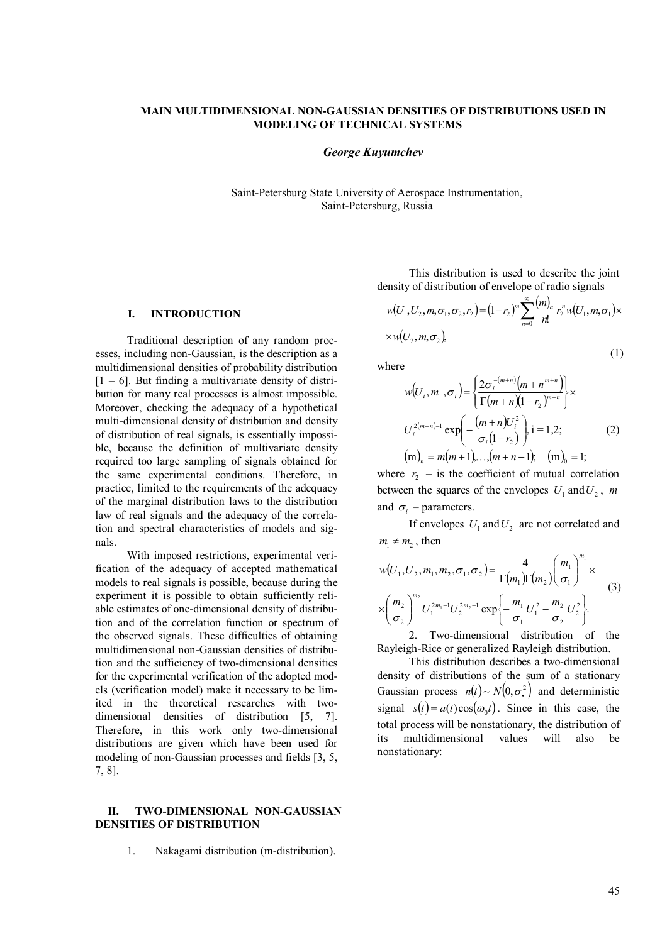# **MAIN MULTIDIMENSIONAL NON-GAUSSIAN DENSITIES OF DISTRIBUTIONS USED IN MODELING OF TECHNICAL SYSTEMS**

### *George Kuyumchev*

Saint-Petersburg State University of Aerospace Instrumentation, Saint-Petersburg, Russia

# **I. INTRODUCTION**

Traditional description of any random processes, including non-Gaussian, is the description as a multidimensional densities of probability distribution  $[1 - 6]$ . But finding a multivariate density of distribution for many real processes is almost impossible. Moreover, checking the adequacy of a hypothetical multi-dimensional density of distribution and density of distribution of real signals, is essentially impossible, because the definition of multivariate density required too large sampling of signals obtained for the same experimental conditions. Therefore, in practice, limited to the requirements of the adequacy of the marginal distribution laws to the distribution law of real signals and the adequacy of the correlation and spectral characteristics of models and signals.

With imposed restrictions, experimental verification of the adequacy of accepted mathematical models to real signals is possible, because during the experiment it is possible to obtain sufficiently reliable estimates of one-dimensional density of distribution and of the correlation function or spectrum of the observed signals. These difficulties of obtaining multidimensional non-Gaussian densities of distribution and the sufficiency of two-dimensional densities for the experimental verification of the adopted models (verification model) make it necessary to be limited in the theoretical researches with twodimensional densities of distribution [5, 7]. Therefore, in this work only two-dimensional distributions are given which have been used for modeling of non-Gaussian processes and fields [3, 5, 7, 8].

## **II. TWO-DIMENSIONAL NON-GAUSSIAN DENSITIES OF DISTRIBUTION**

1. Nakagami distribution (m-distribution).

This distribution is used to describe the joint density of distribution of envelope of radio signals

$$
w(U_1, U_2, m, \sigma_1, \sigma_2, r_2) = (1 - r_2)^m \sum_{n=0}^{\infty} \frac{(m)_n}{n!} r_2^n w(U_1, m, \sigma_1) \times
$$
  
×w(U<sub>2</sub>, m, \sigma<sub>2</sub>),

where

$$
w(U_i, m, \sigma_i) = \left\{ \frac{2\sigma_i^{-(m+n)}(m+n^{m+n})}{\Gamma(m+n)(1-r_2)^{m+n}} \right\} \times
$$
  

$$
U_i^{2(m+n)-1} \exp\left(-\frac{(m+n)U_i^2}{\sigma_i(1-r_2)}\right), i = 1, 2; \quad (2)
$$
  

$$
(m)_n = m(m+1), \dots, (m+n-1), \quad (m)_0 = 1;
$$

where  $r_2$  – is the coefficient of mutual correlation between the squares of the envelopes  $U_1$  and  $U_2$ ,  $m$ and  $\sigma_i$  – parameters.

If envelopes  $U_1$  and  $U_2$  are not correlated and  $m_1 \neq m_2$ , then

$$
w(U_1, U_2, m_1, m_2, \sigma_1, \sigma_2) = \frac{4}{\Gamma(m_1)\Gamma(m_2)} \left(\frac{m_1}{\sigma_1}\right)^{m_1} \times \\ \times \left(\frac{m_2}{\sigma_2}\right)^{m_2} U_1^{2m_1 - 1} U_2^{2m_2 - 1} \exp\left\{-\frac{m_1}{\sigma_1} U_1^2 - \frac{m_2}{\sigma_2} U_2^2\right\}. \tag{3}
$$

2. Two-dimensional distribution of the Rayleigh-Rice or generalized Rayleigh distribution.

This distribution describes a two-dimensional density of distributions of the sum of a stationary Gaussian process  $n(t) \sim N(0, \sigma^2)$  and deterministic signal  $s(t) = a(t)\cos(\omega_0 t)$ . Since in this case, the total process will be nonstationary, the distribution of multidimensional values will also be nonstationary:

(1)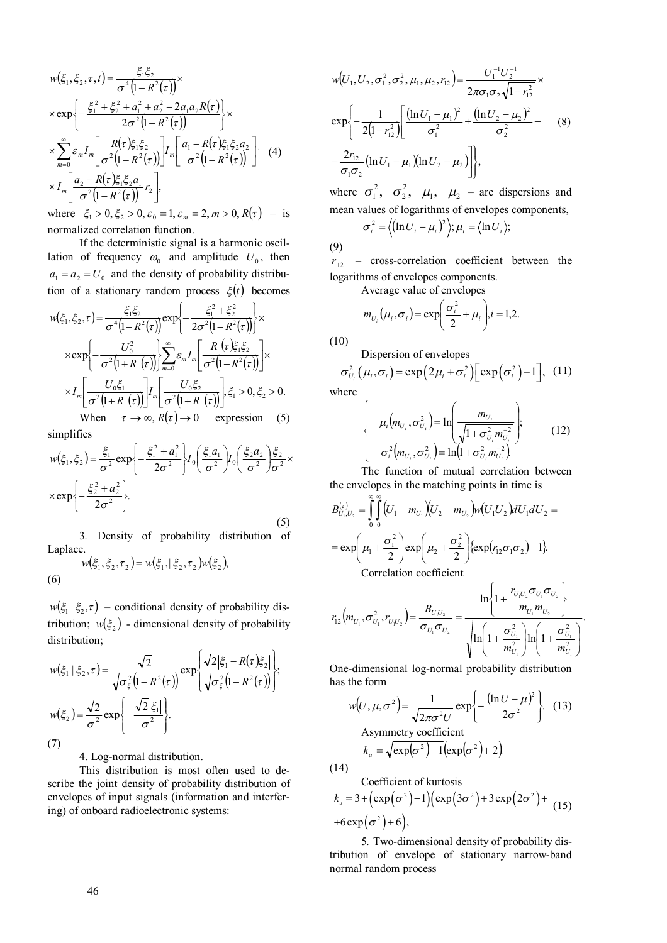$$
w(\xi_1, \xi_2, \tau, t) = \frac{\xi_1 \xi_2}{\sigma^4 (1 - R^2(\tau))} \times
$$
  
\n
$$
\times \exp \left\{ -\frac{\xi_1^2 + \xi_2^2 + a_1^2 + a_2^2 - 2a_1 a_2 R(\tau)}{2\sigma^2 (1 - R^2(\tau))} \right\} \times
$$
  
\n
$$
\times \sum_{m=0}^{\infty} \varepsilon_m I_m \left[ \frac{R(\tau) \xi_1 \xi_2}{\sigma^2 (1 - R^2(\tau))} \right] I_m \left[ \frac{a_1 - R(\tau) \xi_1 \xi_2 a_2}{\sigma^2 (1 - R^2(\tau))} \right].
$$
 (4)  
\n
$$
\times I_m \left[ \frac{a_2 - R(\tau) \xi_1 \xi_2 a_1}{\sigma^2 (1 - R^2(\tau))} r_2 \right],
$$

where  $\xi_1 > 0$ ,  $\xi_2 > 0$ ,  $\varepsilon_0 = 1$ ,  $\varepsilon_m = 2$ ,  $m > 0$ ,  $R(\tau)$  – is normalized correlation function.

If the deterministic signal is a harmonic oscillation of frequency  $\omega_0$  and amplitude  $U_0$ , then  $a_1 = a_2 = U_0$  and the density of probability distribution of a stationary random process  $\xi(t)$  becomes

$$
w(\xi_1, \xi_2, \tau) = \frac{\xi_1 \xi_2}{\sigma^4 (1 - R^2(\tau))} \exp\left\{-\frac{\xi_1^2 + \xi_2^2}{2\sigma^2 (1 - R^2(\tau))}\right\} \times
$$
  
\n
$$
\times \exp\left\{-\frac{U_0^2}{\sigma^2 (1 + R(\tau))}\right\} \sum_{m=0}^{\infty} \varepsilon_m I_m \left[\frac{R(\tau) \xi_1 \xi_2}{\sigma^2 (1 - R^2(\tau))}\right] \times
$$
  
\n
$$
\times I_m \left[\frac{U_0 \xi_1}{\sigma^2 (1 + R(\tau))}\right] I_m \left[\frac{U_0 \xi_2}{\sigma^2 (1 + R(\tau))}\right] \xi_1 > 0, \xi_2 > 0.
$$
  
\nWhen  $\tau \to \infty, R(\tau) \to 0$  expression (5)

simplifies

$$
w(\xi_1, \xi_2) = \frac{\xi_1}{\sigma^2} \exp\left\{-\frac{\xi_1^2 + a_1^2}{2\sigma^2}\right\} I_0 \left(\frac{\xi_1 a_1}{\sigma^2}\right) I_0 \left(\frac{\xi_2 a_2}{\sigma^2}\right) \frac{\xi_2}{\sigma^2} \times \exp\left\{-\frac{\xi_2^2 + a_2^2}{2\sigma^2}\right\}.
$$
\n(5)

3*.* Density of probability distribution of Laplace.  $w(\xi_1, \xi_2, \tau_2) = w(\xi_1, |\xi_2, \tau_2) w(\xi_2),$ 

(6)

 $w(\xi_1 | \xi_2, \tau)$  – conditional density of probability distribution;  $w(\xi_2)$  - dimensional density of probability distribution;

$$
w(\xi_1 | \xi_2, \tau) = \frac{\sqrt{2}}{\sqrt{\sigma_{\xi}^2 (1 - R^2(\tau))}} \exp \left\{ \frac{\sqrt{2} |\xi_1 - R(\tau) \xi_2|}{\sqrt{\sigma_{\xi}^2 (1 - R^2(\tau))}} \right\};
$$
  

$$
w(\xi_2) = \frac{\sqrt{2}}{\sigma^2} \exp \left\{ -\frac{\sqrt{2} |\xi_1|}{\sigma^2} \right\}.
$$
  
(7)

4. Log-normal distribution.

This distribution is most often used to describe the joint density of probability distribution of envelopes of input signals (information and interfering) of onboard radioelectronic systems:

$$
w(U_1, U_2, \sigma_1^2, \sigma_2^2, \mu_1, \mu_2, r_{12}) = \frac{U_1^{-1} U_2^{-1}}{2\pi\sigma_1\sigma_2\sqrt{1-r_{12}^2}} \times \n\exp\left\{-\frac{1}{2(1-r_{12}^2)} \left[ \frac{(\ln U_1 - \mu_1)^2}{\sigma_1^2} + \frac{(\ln U_2 - \mu_2)^2}{\sigma_2^2} - \frac{2r_{12}}{\sigma_1\sigma_2} (\ln U_1 - \mu_1)(\ln U_2 - \mu_2) \right] \right\},
$$
\n(8)

where  $\sigma_1^2$ ,  $\sigma_2^2$ ,  $\mu_1$ ,  $\mu_2$  – are dispersions and mean values of logarithms of envelopes components,  $\sigma_i^2 = \langle (\ln U_i - \mu_i)^2 \rangle; \mu_i = \langle \ln U_i \rangle;$ 

(9)

 $r_{12}$  – cross-correlation coefficient between the logarithms of envelopes components.

Average value of envelopes

$$
m_{U_i}(\mu_i, \sigma_i) = \exp\left(\frac{\sigma_i^2}{2} + \mu_i\right), i = 1, 2.
$$

(10)

Dispersion of envelopes

$$
\sigma_{U_i}^2(\mu_i, \sigma_i) = \exp(2\mu_i + \sigma_i^2) \left[\exp(\sigma_i^2) - 1\right], (11)
$$
  
where

where

$$
\begin{cases}\n\mu_i(m_{U_i}, \sigma_{U_i}^2) = \ln\left(\frac{m_{U_i}}{\sqrt{1 + \sigma_{U_i}^2 m_{U_i}^{-2}}}\right); \\
\sigma_i^2(m_{U_i}, \sigma_{U_i}^2) = \ln\left(1 + \sigma_{U_i}^2 m_{U_i}^{-2}\right)\n\end{cases} (12)
$$

The function of mutual correlation between the envelopes in the matching points in time is

$$
B_{U_1, U_2}^{(\tau)} = \int_0^{\infty} \int_0^{\infty} (U_1 - m_{U_1}) (U_2 - m_{U_2}) w(U_1 U_2) dU_1 dU_2 =
$$
  
= exp $\left(\mu_1 + \frac{\sigma_1^2}{2}\right)$ exp $\left(\mu_2 + \frac{\sigma_2^2}{2}\right)$  {exp $(r_{12} \sigma_1 \sigma_2)$  -1}.  
Correlation coefficient

$$
r_{12}(m_{U_1}, \sigma_{U_1}^2, r_{U_1U_2}) = \frac{B_{U_1U_2}}{\sigma_{U_1}\sigma_{U_2}} = \frac{\ln\left\{1 + \frac{r_{U_1U_2}\sigma_{U_1}\sigma_{U_2}}{m_{U_1}m_{U_2}}\right\}}{\sqrt{\ln\left(1 + \frac{\sigma_{U_1}^2}{m_{U_1}^2}\right)\ln\left(1 + \frac{\sigma_{U_1}^2}{m_{U_1}^2}\right)}}.
$$

One-dimensional log-normal probability distribution has the form

$$
w(U, \mu, \sigma^2) = \frac{1}{\sqrt{2\pi\sigma^2 U}} \exp\left\{-\frac{(\ln U - \mu)^2}{2\sigma^2}\right\}.
$$
 (13)  
Asymmetry coefficient  

$$
k_a = \sqrt{\exp(\sigma^2) - 1} \left(\exp(\sigma^2) + 2\right)
$$

(14)

Coefficient of kurtosis  
\n
$$
k_{\rho} = 3 + (\exp(\sigma^2) - 1)(\exp(3\sigma^2) + 3\exp(2\sigma^2) +
$$
\n
$$
+6\exp(\sigma^2) + 6),
$$
\n(15)

5*.* Two-dimensional density of probability distribution of envelope of stationary narrow-band normal random process